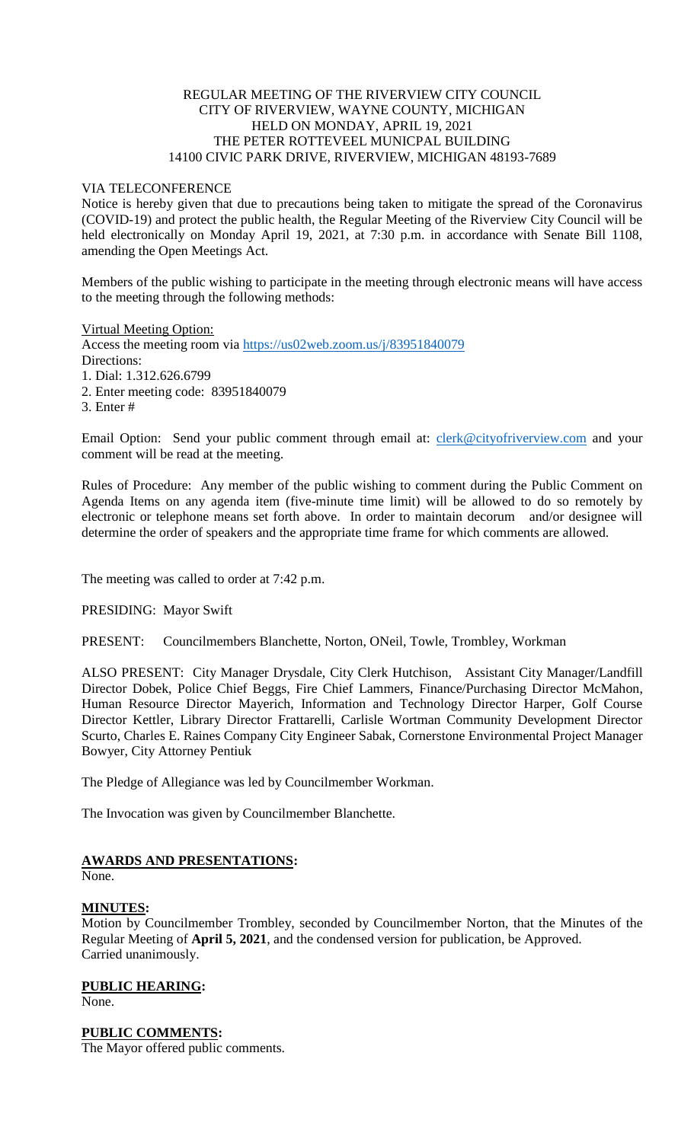## REGULAR MEETING OF THE RIVERVIEW CITY COUNCIL CITY OF RIVERVIEW, WAYNE COUNTY, MICHIGAN HELD ON MONDAY, APRIL 19, 2021 THE PETER ROTTEVEEL MUNICPAL BUILDING 14100 CIVIC PARK DRIVE, RIVERVIEW, MICHIGAN 48193-7689

#### VIA TELECONFERENCE

Notice is hereby given that due to precautions being taken to mitigate the spread of the Coronavirus (COVID-19) and protect the public health, the Regular Meeting of the Riverview City Council will be held electronically on Monday April 19, 2021, at 7:30 p.m. in accordance with Senate Bill 1108, amending the Open Meetings Act.

Members of the public wishing to participate in the meeting through electronic means will have access to the meeting through the following methods:

Virtual Meeting Option:

Access the meeting room via [https://us02web.zoom.us/j/83951840079](https://www.google.com/url?q=https%3A%2F%2Fus02web.zoom.us%2Fj%2F83951840079&sa=D&ust=1617724432895000&usg=AOvVaw0lxHUPn5I1UNQYeg_5mChK)  Directions: 1. Dial: 1.312.626.6799

- 2. Enter meeting code: 83951840079
- 3. Enter #

Email Option: Send your public comment through email at: [clerk@cityofriverview.com](mailto:clerk@cityofriverview.com) and your comment will be read at the meeting.

Rules of Procedure: Any member of the public wishing to comment during the Public Comment on Agenda Items on any agenda item (five-minute time limit) will be allowed to do so remotely by electronic or telephone means set forth above. In order to maintain decorum and/or designee will determine the order of speakers and the appropriate time frame for which comments are allowed.

The meeting was called to order at 7:42 p.m.

PRESIDING: Mayor Swift

PRESENT: Councilmembers Blanchette, Norton, ONeil, Towle, Trombley, Workman

ALSO PRESENT: City Manager Drysdale, City Clerk Hutchison, Assistant City Manager/Landfill Director Dobek, Police Chief Beggs, Fire Chief Lammers, Finance/Purchasing Director McMahon, Human Resource Director Mayerich, Information and Technology Director Harper, Golf Course Director Kettler, Library Director Frattarelli, Carlisle Wortman Community Development Director Scurto, Charles E. Raines Company City Engineer Sabak, Cornerstone Environmental Project Manager Bowyer, City Attorney Pentiuk

The Pledge of Allegiance was led by Councilmember Workman.

The Invocation was given by Councilmember Blanchette.

# **AWARDS AND PRESENTATIONS:**

None.

# **MINUTES:**

Motion by Councilmember Trombley, seconded by Councilmember Norton, that the Minutes of the Regular Meeting of **April 5, 2021**, and the condensed version for publication, be Approved. Carried unanimously.

**PUBLIC HEARING:** None.

# **PUBLIC COMMENTS:**

The Mayor offered public comments.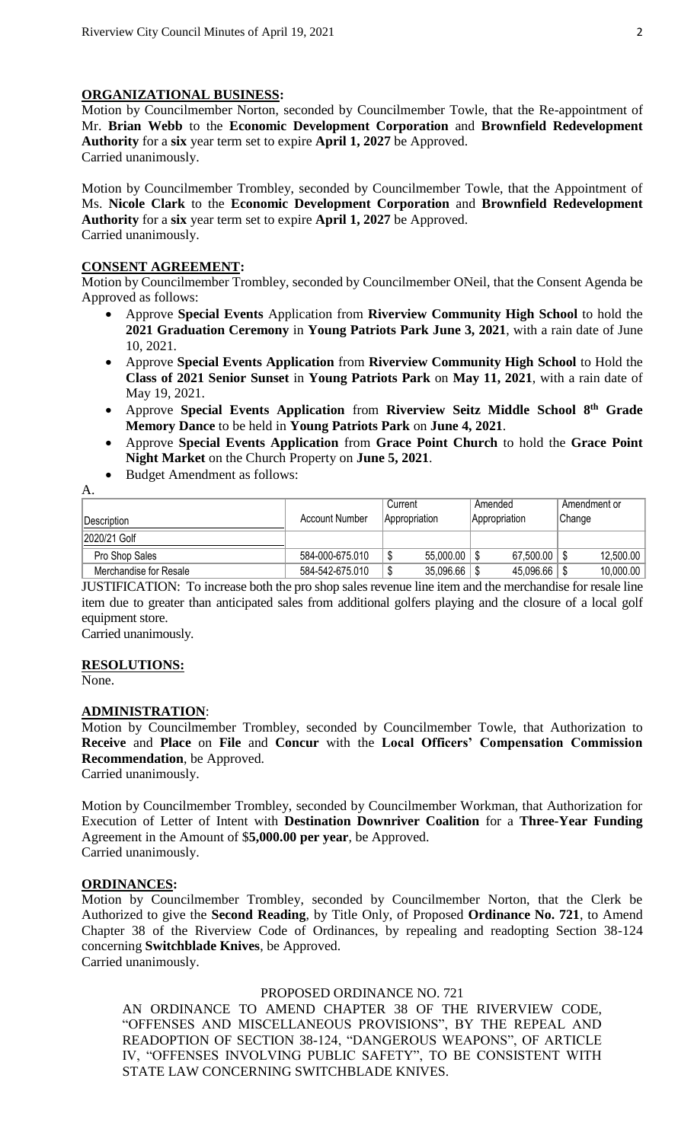### **ORGANIZATIONAL BUSINESS:**

Motion by Councilmember Norton, seconded by Councilmember Towle, that the Re-appointment of Mr. **Brian Webb** to the **Economic Development Corporation** and **Brownfield Redevelopment Authority** for a **six** year term set to expire **April 1, 2027** be Approved. Carried unanimously.

Motion by Councilmember Trombley, seconded by Councilmember Towle, that the Appointment of Ms. **Nicole Clark** to the **Economic Development Corporation** and **Brownfield Redevelopment Authority** for a **six** year term set to expire **April 1, 2027** be Approved. Carried unanimously.

# **CONSENT AGREEMENT:**

Motion by Councilmember Trombley, seconded by Councilmember ONeil, that the Consent Agenda be Approved as follows:

- Approve **Special Events** Application from **Riverview Community High School** to hold the **2021 Graduation Ceremony** in **Young Patriots Park June 3, 2021**, with a rain date of June 10, 2021.
- Approve **Special Events Application** from **Riverview Community High School** to Hold the **Class of 2021 Senior Sunset** in **Young Patriots Park** on **May 11, 2021**, with a rain date of May 19, 2021.
- Approve **Special Events Application** from **Riverview Seitz Middle School 8 th Grade Memory Dance** to be held in **Young Patriots Park** on **June 4, 2021**.
- Approve **Special Events Application** from **Grace Point Church** to hold the **Grace Point Night Market** on the Church Property on **June 5, 2021**.
- Budget Amendment as follows:

| Description            | <b>Account Number</b> | Current<br>Appropriation | Amended<br>Appropriation | Amendment or<br>Change |
|------------------------|-----------------------|--------------------------|--------------------------|------------------------|
| 2020/21 Golf           |                       |                          |                          |                        |
| Pro Shop Sales         | 584-000-675.010       | 55,000.00                | 67,500.00                | 12,500.00              |
| Merchandise for Resale | 584-542-675.010       | 35,096.66                | 45,096.66                | 10,000.00              |

JUSTIFICATION: To increase both the pro shop sales revenue line item and the merchandise for resale line item due to greater than anticipated sales from additional golfers playing and the closure of a local golf equipment store.

Carried unanimously.

#### **RESOLUTIONS:**

None.

A.

#### **ADMINISTRATION**:

Motion by Councilmember Trombley, seconded by Councilmember Towle, that Authorization to **Receive** and **Place** on **File** and **Concur** with the **Local Officers' Compensation Commission Recommendation**, be Approved.

Carried unanimously.

Motion by Councilmember Trombley, seconded by Councilmember Workman, that Authorization for Execution of Letter of Intent with **Destination Downriver Coalition** for a **Three-Year Funding** Agreement in the Amount of \$**5,000.00 per year**, be Approved. Carried unanimously.

# **ORDINANCES:**

Motion by Councilmember Trombley, seconded by Councilmember Norton, that the Clerk be Authorized to give the **Second Reading**, by Title Only, of Proposed **Ordinance No. 721**, to Amend Chapter 38 of the Riverview Code of Ordinances, by repealing and readopting Section 38-124 concerning **Switchblade Knives**, be Approved. Carried unanimously.

PROPOSED ORDINANCE NO. 721

AN ORDINANCE TO AMEND CHAPTER 38 OF THE RIVERVIEW CODE, "OFFENSES AND MISCELLANEOUS PROVISIONS", BY THE REPEAL AND READOPTION OF SECTION 38-124, "DANGEROUS WEAPONS", OF ARTICLE IV, "OFFENSES INVOLVING PUBLIC SAFETY", TO BE CONSISTENT WITH STATE LAW CONCERNING SWITCHBLADE KNIVES.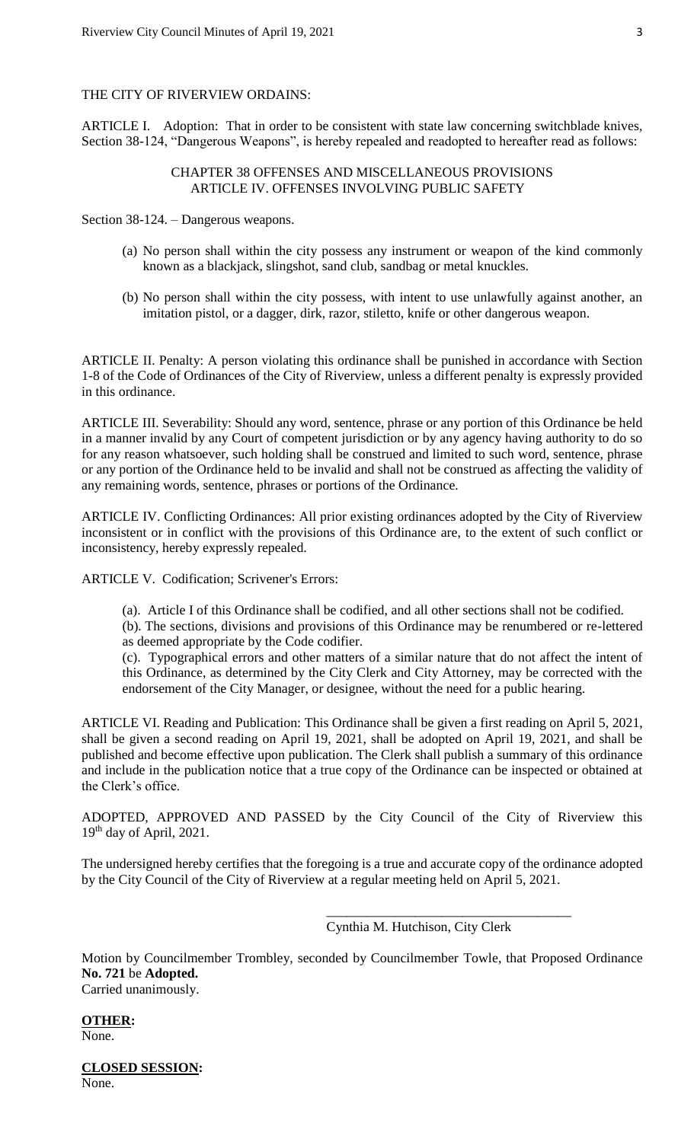### THE CITY OF RIVERVIEW ORDAINS:

ARTICLE I. Adoption: That in order to be consistent with state law concerning switchblade knives, Section 38-124, "Dangerous Weapons", is hereby repealed and readopted to hereafter read as follows:

### CHAPTER 38 OFFENSES AND MISCELLANEOUS PROVISIONS ARTICLE IV. OFFENSES INVOLVING PUBLIC SAFETY

Section 38-124. – Dangerous weapons.

- (a) No person shall within the city possess any instrument or weapon of the kind commonly known as a blackjack, slingshot, sand club, sandbag or metal knuckles.
- (b) No person shall within the city possess, with intent to use unlawfully against another, an imitation pistol, or a dagger, dirk, razor, stiletto, knife or other dangerous weapon.

ARTICLE II. Penalty: A person violating this ordinance shall be punished in accordance with Section 1-8 of the Code of Ordinances of the City of Riverview, unless a different penalty is expressly provided in this ordinance.

ARTICLE III. Severability: Should any word, sentence, phrase or any portion of this Ordinance be held in a manner invalid by any Court of competent jurisdiction or by any agency having authority to do so for any reason whatsoever, such holding shall be construed and limited to such word, sentence, phrase or any portion of the Ordinance held to be invalid and shall not be construed as affecting the validity of any remaining words, sentence, phrases or portions of the Ordinance.

ARTICLE IV. Conflicting Ordinances: All prior existing ordinances adopted by the City of Riverview inconsistent or in conflict with the provisions of this Ordinance are, to the extent of such conflict or inconsistency, hereby expressly repealed.

ARTICLE V. Codification; Scrivener's Errors:

(a). Article I of this Ordinance shall be codified, and all other sections shall not be codified.

(b). The sections, divisions and provisions of this Ordinance may be renumbered or re-lettered as deemed appropriate by the Code codifier.

(c). Typographical errors and other matters of a similar nature that do not affect the intent of this Ordinance, as determined by the City Clerk and City Attorney, may be corrected with the endorsement of the City Manager, or designee, without the need for a public hearing.

ARTICLE VI. Reading and Publication: This Ordinance shall be given a first reading on April 5, 2021, shall be given a second reading on April 19, 2021, shall be adopted on April 19, 2021, and shall be published and become effective upon publication. The Clerk shall publish a summary of this ordinance and include in the publication notice that a true copy of the Ordinance can be inspected or obtained at the Clerk's office.

ADOPTED, APPROVED AND PASSED by the City Council of the City of Riverview this  $19<sup>th</sup>$  day of April, 2021.

The undersigned hereby certifies that the foregoing is a true and accurate copy of the ordinance adopted by the City Council of the City of Riverview at a regular meeting held on April 5, 2021.

Cynthia M. Hutchison, City Clerk

\_\_\_\_\_\_\_\_\_\_\_\_\_\_\_\_\_\_\_\_\_\_\_\_\_\_\_\_\_\_\_\_\_\_\_\_

Motion by Councilmember Trombley, seconded by Councilmember Towle, that Proposed Ordinance **No. 721** be **Adopted.** Carried unanimously.

**OTHER:** None.

**CLOSED SESSION:** None.